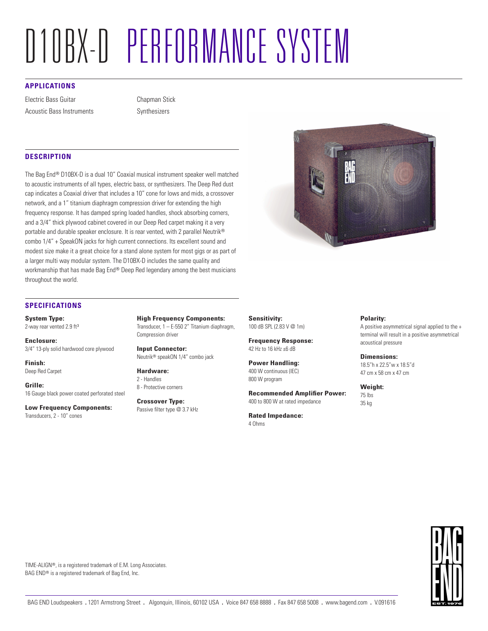# D10BX-D PERFORMANCE SYSTEM

# **APPLICATIONS**

Electric Bass Guitar Acoustic Bass Instruments Chapman Stick Synthesizers

# **DESCRIPTION**

The Bag End® D10BX-D is a dual 10" Coaxial musical instrument speaker well matched to acoustic instruments of all types, electric bass, or synthesizers. The Deep Red dust cap indicates a Coaxial driver that includes a 10" cone for lows and mids, a crossover network, and a 1" titanium diaphragm compression driver for extending the high frequency response. It has damped spring loaded handles, shock absorbing corners, and a 3/4" thick plywood cabinet covered in our Deep Red carpet making it a very portable and durable speaker enclosure. It is rear vented, with 2 parallel Neutrik® combo 1/4" + SpeakON jacks for high current connections. Its excellent sound and modest size make it a great choice for a stand alone system for most gigs or as part of a larger multi way modular system. The D10BX-D includes the same quality and workmanship that has made Bag End® Deep Red legendary among the best musicians throughout the world.



### **SPECIFICATIONS**

**System Type:** 2-way rear vented 2.9 ft<sup>3</sup>

**Enclosure:** 3/4" 13-ply solid hardwood core plywood

**Finish:** Deep Red Carpet

**Grille:** 16 Gauge black power coated perforated steel

**Low Frequency Components:** Transducers, 2 - 10" cones

**High Frequency Components:** Transducer, 1 – E-550 2" Titanium diaphragm, Compression driver

**Input Connector:** Neutrik® speakON 1/4" combo jack

**Hardware:** 2 - Handles 8 - Protective corners

**Crossover Type:** Passive filter type @ 3.7 kHz **Sensitivity:** 100 dB SPL (2.83 V @ 1m)

**Frequency Response:** 42 Hz to 16 kHz ±6 dB

**Power Handling:** 400 W continuous (IEC) 800 W program

**Recommended Amplifier Power:** 400 to 800 W at rated impedance

**Rated Impedance:**

4 Ohms

#### **Polarity:**

A positive asymmetrical signal applied to the + terminal will result in a positive asymmetrical acoustical pressure

**Dimensions:** 18.5"h x 22.5"w x 18.5"d 47 cm x 58 cm x 47 cm

**Weight:**

75 lbs 35 kg

TIME-ALIGN®, is a registered trademark of E.M. Long Associates. BAG END® is a registered trademark of Bag End, Inc.